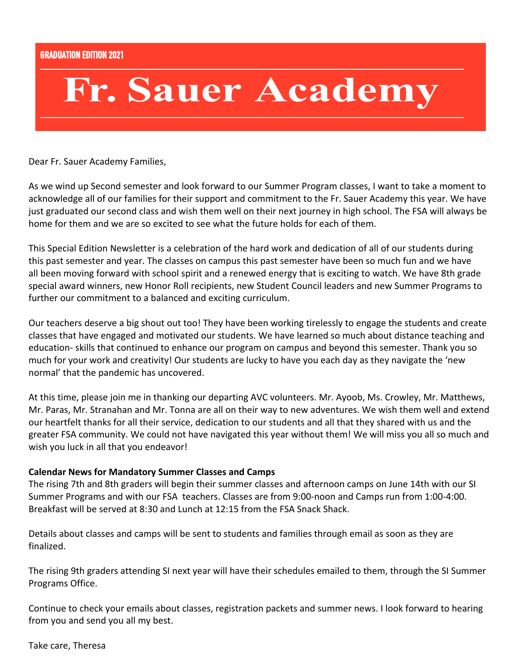# Fr. Sauer Academy

Dear Fr. Sauer Academy Families,

As we wind up Second semester and look forward to our Summer Program classes, I want to take a moment to acknowledge all of our families for their support and commitment to the Fr. Sauer Academy this year. We have just graduated our second class and wish them well on their next journey in high school. The FSA will always be home for them and we are so excited to see what the future holds for each of them.

This Special Edition Newsletter is a celebration of the hard work and dedication of all of our students during this past semester and year. The classes on campus this past semester have been so much fun and we have all been moving forward with school spirit and a renewed energy that is exciting to watch. We have 8th grade special award winners, new Honor Roll recipients, new Student Council leaders and new Summer Programs to further our commitment to a balanced and exciting curriculum.

Our teachers deserve a big shout out too! They have been working tirelessly to engage the students and create classes that have engaged and motivated our students. We have learned so much about distance teaching and education- skills that continued to enhance our program on campus and beyond this semester. Thank you so much for your work and creativity! Our students are lucky to have you each day as they navigate the 'new normal' that the pandemic has uncovered.

At this time, please join me in thanking our departing AVC volunteers. Mr. Ayoob, Ms. Crowley, Mr. Matthews, Mr. Paras, Mr. Stranahan and Mr. Tonna are all on their way to new adventures. We wish them well and extend our heartfelt thanks for all their service, dedication to our students and all that they shared with us and the greater FSA community. We could not have navigated this year without them! We will miss you all so much and wish you luck in all that you endeavor!

#### **Calendar News for Mandatory Summer Classes and Camps**

The rising 7th and 8th graders will begin their summer classes and afternoon camps on June 14th with our SI Summer Programs and with our FSA teachers. Classes are from 9:00-noon and Camps run from 1:00-4:00. Breakfast will be served at 8:30 and Lunch at 12:15 from the FSA Snack Shack.

Details about classes and camps will be sent to students and families through email as soon as they are finalized.

The rising 9th graders attending SI next year will have their schedules emailed to them, through the SI Summer Programs Office.

Continue to check your emails about classes, registration packets and summer news. I look forward to hearing from you and send you all my best.

Take care, Theresa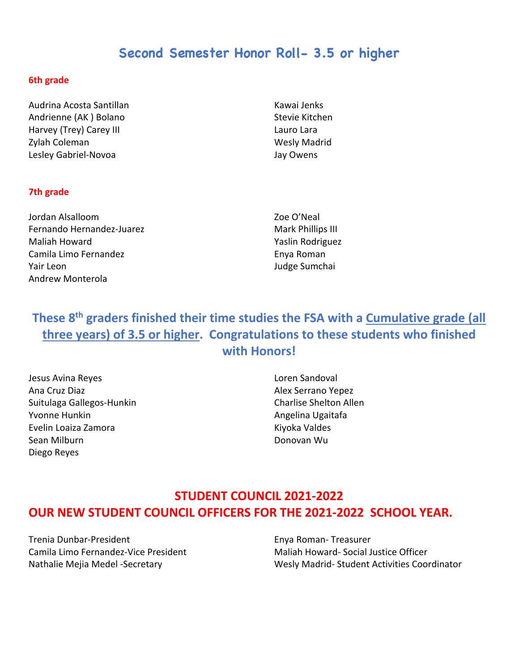## **Second Semester Honor Roll- 3.5 or higher**

#### **6th grade**

Audrina Acosta Santillan Andrienne (AK ) Bolano Harvey (Trey) Carey III Zylah Coleman Lesley Gabriel-Novoa

Kawai Jenks Stevie Kitchen Lauro Lara Wesly Madrid Jay Owens

#### **7th grade**

Jordan Alsalloom Fernando Hernandez-Juarez Maliah Howard Camila Limo Fernandez Yair Leon Andrew Monterola

Zoe O'Neal Mark Phillips III Yaslin Rodriguez Enya Roman Judge Sumchai

## **These 8th graders finished their time studies the FSA with a Cumulative grade (all three years) of 3.5 or higher. Congratulations to these students who finished with Honors!**

Jesus Avina Reyes Ana Cruz Diaz Suitulaga Gallegos-Hunkin Yvonne Hunkin Evelin Loaiza Zamora Sean Milburn Diego Reyes

Loren Sandoval Alex Serrano Yepez Charlise Shelton Allen Angelina Ugaitafa Kiyoka Valdes Donovan Wu

#### **STUDENT COUNCIL 2021-2022 OUR NEW STUDENT COUNCIL OFFICERS FOR THE 2021-2022 SCHOOL YEAR.**

Trenia Dunbar-President Camila Limo Fernandez-Vice President Nathalie Mejia Medel -Secretary

Enya Roman- Treasurer Maliah Howard- Social Justice Officer Wesly Madrid- Student Activities Coordinator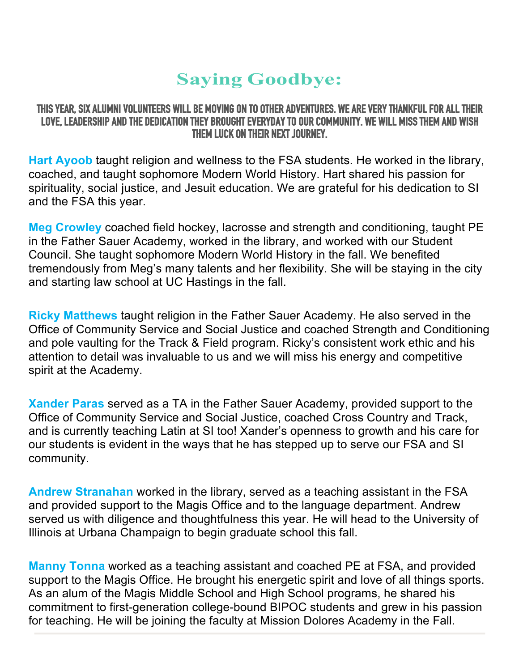# **Saying Goodbye:**

#### **THIS YEAR, SIX ALUMNI VOLUNTEERS WILL BE MOVING ON TO OTHER ADVENTURES. WE ARE VERY THANKFUL FOR ALL THEIR LOVE, LEADERSHIP AND THE DEDICATION THEY BROUGHT EVERYDAY TO OUR COMMUNITY. WE WILL MISS THEM AND WISH THEM LUCK ON THEIR NEXT JOURNEY.**

**Hart Ayoob** taught religion and wellness to the FSA students. He worked in the library, coached, and taught sophomore Modern World History. Hart shared his passion for spirituality, social justice, and Jesuit education. We are grateful for his dedication to SI and the FSA this year.

**Meg Crowley** coached field hockey, lacrosse and strength and conditioning, taught PE in the Father Sauer Academy, worked in the library, and worked with our Student Council. She taught sophomore Modern World History in the fall. We benefited tremendously from Meg's many talents and her flexibility. She will be staying in the city and starting law school at UC Hastings in the fall.

**Ricky Matthews** taught religion in the Father Sauer Academy. He also served in the Office of Community Service and Social Justice and coached Strength and Conditioning and pole vaulting for the Track & Field program. Ricky's consistent work ethic and his attention to detail was invaluable to us and we will miss his energy and competitive spirit at the Academy.

**Xander Paras** served as a TA in the Father Sauer Academy, provided support to the Office of Community Service and Social Justice, coached Cross Country and Track, and is currently teaching Latin at SI too! Xander's openness to growth and his care for our students is evident in the ways that he has stepped up to serve our FSA and SI community.

**Andrew Stranahan** worked in the library, served as a teaching assistant in the FSA and provided support to the Magis Office and to the language department. Andrew served us with diligence and thoughtfulness this year. He will head to the University of Illinois at Urbana Champaign to begin graduate school this fall.

**Manny Tonna** worked as a teaching assistant and coached PE at FSA, and provided support to the Magis Office. He brought his energetic spirit and love of all things sports. As an alum of the Magis Middle School and High School programs, he shared his commitment to first-generation college-bound BIPOC students and grew in his passion for teaching. He will be joining the faculty at Mission Dolores Academy in the Fall.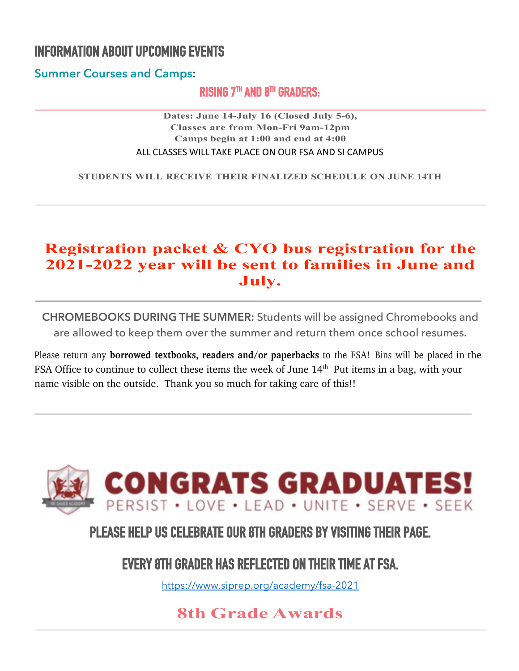# **INFORMATION ABOUT UPCOMING EVENTS**

**Summer Courses and Camps:**

#### **RISING 7TH AND 8TH GRADERS:**

**Dates: June 14-July 16 (Closed July 5-6), Classes are from Mon-Fri 9am-12pm Camps begin at 1:00 and end at 4:00** ALL CLASSES WILL TAKE PLACE ON OUR FSA AND SI CAMPUS

**STUDENTS WILL RECEIVE THEIR FINALIZED SCHEDULE ON JUNE 14TH**

## **Registration packet & CYO bus registration for the 2021-2022 year will be sent to families in June and July.**

**CHROMEBOOKS DURING THE SUMMER:** Students will be assigned Chromebooks and are allowed to keep them over the summer and return them once school resumes.

Please return any **borrowed textbooks, readers and/or paperbacks** to the FSA! Bins will be placed in the FSA Office to continue to collect these items the week of June 14<sup>th</sup> Put items in a bag, with your name visible on the outside. Thank you so much for taking care of this!!

———————————————————————————————————————————



**PLEASE HELP US CELEBRATE OUR 8TH GRADERS BY VISITING THEIR PAGE.** 

**EVERY 8TH GRADER HAS REFLECTED ON THEIR TIME AT FSA.** 

https://www.siprep.org/academy/fsa-2021

## **8th Grade Awards**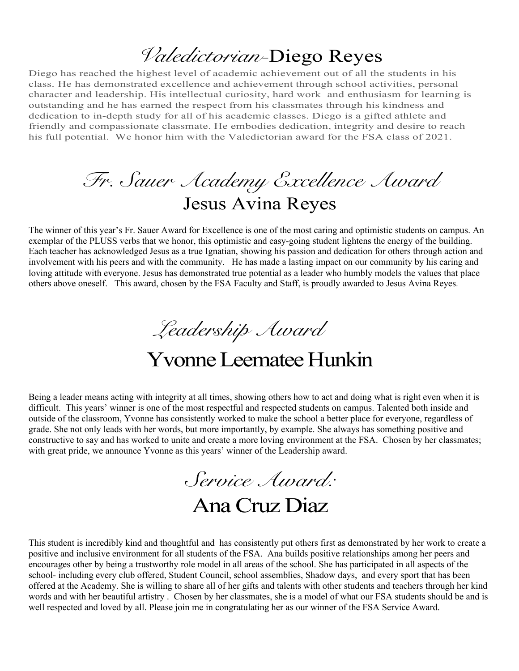# *Valedictorian-*Diego Reyes

Diego has reached the highest level of academic achievement out of all the students in his class. He has demonstrated excellence and achievement through school activities, personal character and leadership. His intellectual curiosity, hard work and enthusiasm for learning is outstanding and he has earned the respect from his classmates through his kindness and dedication to in-depth study for all of his academic classes. Diego is a gifted athlete and friendly and compassionate classmate. He embodies dedication, integrity and desire to reach his full potential. We honor him with the Valedictorian award for the FSA class of 2021.

*Fr. Sauer Academy Excellence Award* Jesus Avina Reyes

The winner of this year's Fr. Sauer Award for Excellence is one of the most caring and optimistic students on campus. An exemplar of the PLUSS verbs that we honor, this optimistic and easy-going student lightens the energy of the building. Each teacher has acknowledged Jesus as a true Ignatian, showing his passion and dedication for others through action and involvement with his peers and with the community. He has made a lasting impact on our community by his caring and loving attitude with everyone. Jesus has demonstrated true potential as a leader who humbly models the values that place others above oneself. This award, chosen by the FSA Faculty and Staff, is proudly awarded to Jesus Avina Reyes.

*Leadership Award*

# Yvonne Leematee Hunkin

Being a leader means acting with integrity at all times, showing others how to act and doing what is right even when it is difficult. This years' winner is one of the most respectful and respected students on campus. Talented both inside and outside of the classroom, Yvonne has consistently worked to make the school a better place for everyone, regardless of grade. She not only leads with her words, but more importantly, by example. She always has something positive and constructive to say and has worked to unite and create a more loving environment at the FSA. Chosen by her classmates; with great pride, we announce Yvonne as this years' winner of the Leadership award.

*Service Award:* Ana Cruz Diaz

This student is incredibly kind and thoughtful and has consistently put others first as demonstrated by her work to create a positive and inclusive environment for all students of the FSA. Ana builds positive relationships among her peers and encourages other by being a trustworthy role model in all areas of the school. She has participated in all aspects of the school- including every club offered, Student Council, school assemblies, Shadow days, and every sport that has been offered at the Academy. She is willing to share all of her gifts and talents with other students and teachers through her kind words and with her beautiful artistry . Chosen by her classmates, she is a model of what our FSA students should be and is well respected and loved by all. Please join me in congratulating her as our winner of the FSA Service Award.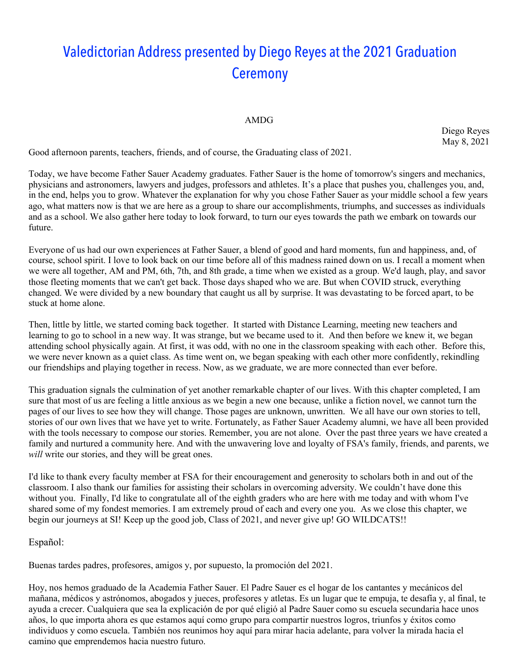# Valedictorian Address presented by Diego Reyes at the 2021 Graduation **Ceremony**

#### AMDG

Diego Reyes May 8, 2021

Good afternoon parents, teachers, friends, and of course, the Graduating class of 2021.

Today, we have become Father Sauer Academy graduates. Father Sauer is the home of tomorrow's singers and mechanics, physicians and astronomers, lawyers and judges, professors and athletes. It's a place that pushes you, challenges you, and, in the end, helps you to grow. Whatever the explanation for why you chose Father Sauer as your middle school a few years ago, what matters now is that we are here as a group to share our accomplishments, triumphs, and successes as individuals and as a school. We also gather here today to look forward, to turn our eyes towards the path we embark on towards our future.

Everyone of us had our own experiences at Father Sauer, a blend of good and hard moments, fun and happiness, and, of course, school spirit. I love to look back on our time before all of this madness rained down on us. I recall a moment when we were all together, AM and PM, 6th, 7th, and 8th grade, a time when we existed as a group. We'd laugh, play, and savor those fleeting moments that we can't get back. Those days shaped who we are. But when COVID struck, everything changed. We were divided by a new boundary that caught us all by surprise. It was devastating to be forced apart, to be stuck at home alone.

Then, little by little, we started coming back together. It started with Distance Learning, meeting new teachers and learning to go to school in a new way. It was strange, but we became used to it. And then before we knew it, we began attending school physically again. At first, it was odd, with no one in the classroom speaking with each other. Before this, we were never known as a quiet class. As time went on, we began speaking with each other more confidently, rekindling our friendships and playing together in recess. Now, as we graduate, we are more connected than ever before.

This graduation signals the culmination of yet another remarkable chapter of our lives. With this chapter completed, I am sure that most of us are feeling a little anxious as we begin a new one because, unlike a fiction novel, we cannot turn the pages of our lives to see how they will change. Those pages are unknown, unwritten. We all have our own stories to tell, stories of our own lives that we have yet to write. Fortunately, as Father Sauer Academy alumni, we have all been provided with the tools necessary to compose our stories. Remember, you are not alone. Over the past three years we have created a family and nurtured a community here. And with the unwavering love and loyalty of FSA's family, friends, and parents, we *will* write our stories, and they will be great ones.

I'd like to thank every faculty member at FSA for their encouragement and generosity to scholars both in and out of the classroom. I also thank our families for assisting their scholars in overcoming adversity. We couldn't have done this without you. Finally, I'd like to congratulate all of the eighth graders who are here with me today and with whom I've shared some of my fondest memories. I am extremely proud of each and every one you. As we close this chapter, we begin our journeys at SI! Keep up the good job, Class of 2021, and never give up! GO WILDCATS!!

#### Español:

Buenas tardes padres, profesores, amigos y, por supuesto, la promoción del 2021.

Hoy, nos hemos graduado de la Academia Father Sauer. El Padre Sauer es el hogar de los cantantes y mecánicos del mañana, médicos y astrónomos, abogados y jueces, profesores y atletas. Es un lugar que te empuja, te desafía y, al final, te ayuda a crecer. Cualquiera que sea la explicación de por qué eligió al Padre Sauer como su escuela secundaria hace unos años, lo que importa ahora es que estamos aquí como grupo para compartir nuestros logros, triunfos y éxitos como individuos y como escuela. También nos reunimos hoy aquí para mirar hacia adelante, para volver la mirada hacia el camino que emprendemos hacia nuestro futuro.